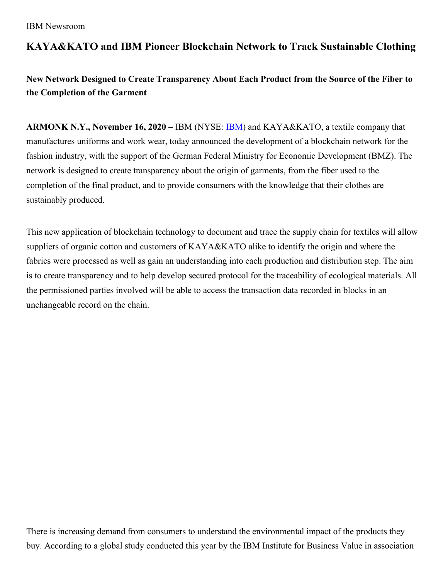## **KAYA&KATO and IBM Pioneer Blockchain Network to Track Sustainable Clothing**

**New Network Designed to Create Transparency About Each Product from the Source of the Fiber to the Completion of the Garment**

**ARMONK N.Y., November 16, 2020 –** IBM (NYSE: [IBM\)](https://c212.net/c/link/?t=0&l=en&o=2452235-1&h=538693436&u=http%3A%2F%2Fwww.ibm.com%2Finvestor&a=IBM) and KAYA&KATO, a textile company that manufactures uniforms and work wear, today announced the development of a blockchain network for the fashion industry, with the support of the German Federal Ministry for Economic Development (BMZ). The network is designed to create transparency about the origin of garments, from the fiber used to the completion of the final product, and to provide consumers with the knowledge that their clothes are sustainably produced.

This new application of blockchain technology to document and trace the supply chain for textiles will allow suppliers of organic cotton and customers of KAYA&KATO alike to identify the origin and where the fabrics were processed as well as gain an understanding into each production and distribution step. The aim is to create transparency and to help develop secured protocol for the traceability of ecological materials. All the permissioned parties involved will be able to access the transaction data recorded in blocks in an unchangeable record on the chain.

There is increasing demand from consumers to understand the environmental impact of the products they buy. According to a global study conducted this year by the IBM Institute for Business Value in association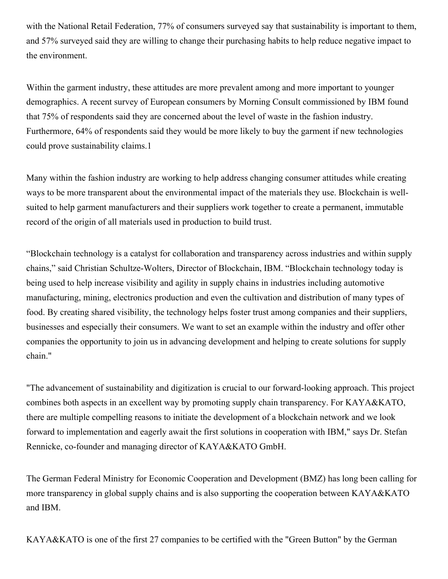with the National Retail Federation, 77% of consumers surveyed say that sustainability is important to them, and 57% surveyed said they are willing to change their purchasing habits to help reduce negative impact to the environment.

Within the garment industry, these attitudes are more prevalent among and more important to younger demographics. A recent survey of European consumers by Morning Consult commissioned by IBM found that 75% of respondents said they are concerned about the level of waste in the fashion industry. Furthermore, 64% of respondents said they would be more likely to buy the garment if new technologies could prove sustainability claims.1

Many within the fashion industry are working to help address changing consumer attitudes while creating ways to be more transparent about the environmental impact of the materials they use. Blockchain is wellsuited to help garment manufacturers and their suppliers work together to create a permanent, immutable record of the origin of all materials used in production to build trust.

"Blockchain technology is a catalyst for collaboration and transparency across industries and within supply chains," said Christian Schultze-Wolters, Director of Blockchain, IBM. "Blockchain technology today is being used to help increase visibility and agility in supply chains in industries including automotive manufacturing, mining, electronics production and even the cultivation and distribution of many types of food. By creating shared visibility, the technology helps foster trust among companies and their suppliers, businesses and especially their consumers. We want to set an example within the industry and offer other companies the opportunity to join us in advancing development and helping to create solutions for supply chain."

"The advancement of sustainability and digitization is crucial to our forward-looking approach. This project combines both aspects in an excellent way by promoting supply chain transparency. For KAYA&KATO, there are multiple compelling reasons to initiate the development of a blockchain network and we look forward to implementation and eagerly await the first solutions in cooperation with IBM," says Dr. Stefan Rennicke, co-founder and managing director of KAYA&KATO GmbH.

The German Federal Ministry for Economic Cooperation and Development (BMZ) has long been calling for more transparency in global supply chains and is also supporting the cooperation between KAYA&KATO and IBM.

KAYA&KATO is one of the first 27 companies to be certified with the "Green Button" by the German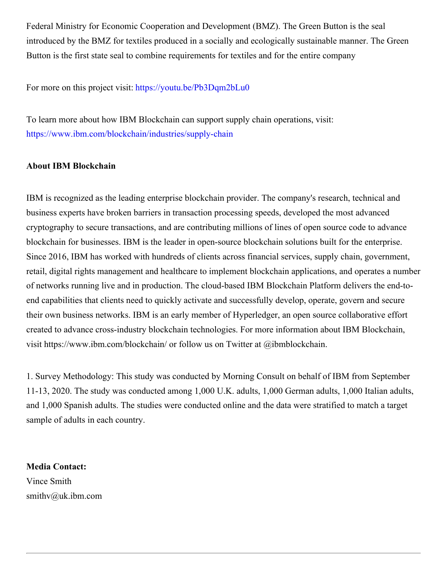Federal Ministry for Economic Cooperation and Development (BMZ). The Green Button is the seal introduced by the BMZ for textiles produced in a socially and ecologically sustainable manner. The Green Button is the first state seal to combine requirements for textiles and for the entire company

For more on this project visit: <https://youtu.be/Pb3Dqm2bLu0>

To learn more about how IBM Blockchain can support supply chain operations, visit: <https://www.ibm.com/blockchain/industries/supply-chain>

## **About IBM Blockchain**

IBM is recognized as the leading enterprise blockchain provider. The company's research, technical and business experts have broken barriers in transaction processing speeds, developed the most advanced cryptography to secure transactions, and are contributing millions of lines of open source code to advance blockchain for businesses. IBM is the leader in open-source blockchain solutions built for the enterprise. Since 2016, IBM has worked with hundreds of clients across financial services, supply chain, government, retail, digital rights management and healthcare to implement blockchain applications, and operates a number of networks running live and in production. The cloud-based IBM Blockchain Platform delivers the end-toend capabilities that clients need to quickly activate and successfully develop, operate, govern and secure their own business networks. IBM is an early member of Hyperledger, an open source collaborative effort created to advance cross-industry blockchain technologies. For more information about IBM Blockchain, visit https://www.ibm.com/blockchain/ or follow us on Twitter at @ibmblockchain.

1. Survey Methodology: This study was conducted by Morning Consult on behalf of IBM from September 11-13, 2020. The study was conducted among 1,000 U.K. adults, 1,000 German adults, 1,000 Italian adults, and 1,000 Spanish adults. The studies were conducted online and the data were stratified to match a target sample of adults in each country.

**Media Contact:** Vince Smith smithv@uk.ibm.com